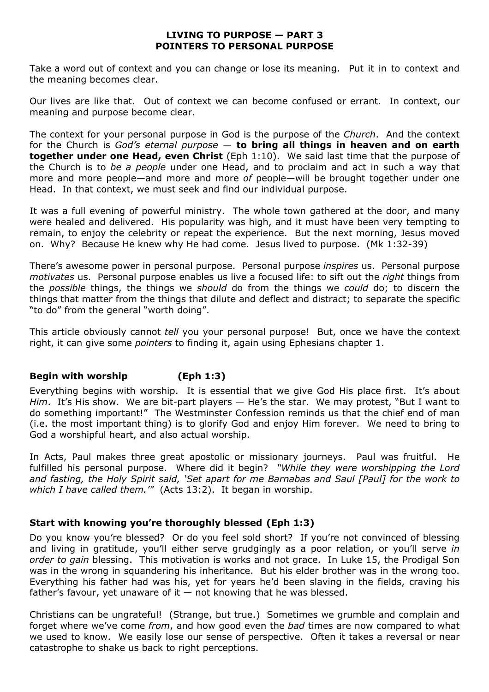### **LIVING TO PURPOSE — PART 3 POINTERS TO PERSONAL PURPOSE**

Take a word out of context and you can change or lose its meaning. Put it in to context and the meaning becomes clear.

Our lives are like that. Out of context we can become confused or errant. In context, our meaning and purpose become clear.

The context for your personal purpose in God is the purpose of the *Church*. And the context for the Church is *God's eternal purpose* — **to bring all things in heaven and on earth together under one Head, even Christ** (Eph 1:10). We said last time that the purpose of the Church is to *be a people* under one Head, and to proclaim and act in such a way that more and more people—and more and more *of* people—will be brought together under one Head. In that context, we must seek and find our individual purpose.

It was a full evening of powerful ministry. The whole town gathered at the door, and many were healed and delivered. His popularity was high, and it must have been very tempting to remain, to enjoy the celebrity or repeat the experience. But the next morning, Jesus moved on. Why? Because He knew why He had come. Jesus lived to purpose. (Mk 1:32-39)

There's awesome power in personal purpose. Personal purpose *inspires* us. Personal purpose *motivates* us. Personal purpose enables us live a focused life: to sift out the *right* things from the *possible* things, the things we *should* do from the things we *could* do; to discern the things that matter from the things that dilute and deflect and distract; to separate the specific "to do" from the general "worth doing".

This article obviously cannot *tell* you your personal purpose! But, once we have the context right, it can give some *pointers* to finding it, again using Ephesians chapter 1.

# **Begin with worship (Eph 1:3)**

Everything begins with worship. It is essential that we give God His place first. It's about *Him*. It's His show. We are bit-part players — He's the star. We may protest, "But I want to do something important!" The Westminster Confession reminds us that the chief end of man (i.e. the most important thing) is to glorify God and enjoy Him forever. We need to bring to God a worshipful heart, and also actual worship.

In Acts, Paul makes three great apostolic or missionary journeys. Paul was fruitful. He fulfilled his personal purpose. Where did it begin? *"While they were worshipping the Lord and fasting, the Holy Spirit said, 'Set apart for me Barnabas and Saul [Paul] for the work to which I have called them.'"* (Acts 13:2). It began in worship.

# **Start with knowing you're thoroughly blessed (Eph 1:3)**

Do you know you're blessed? Or do you feel sold short? If you're not convinced of blessing and living in gratitude, you'll either serve grudgingly as a poor relation, or you'll serve *in order to gain* blessing. This motivation is works and not grace. In Luke 15, the Prodigal Son was in the wrong in squandering his inheritance. But his elder brother was in the wrong too. Everything his father had was his, yet for years he'd been slaving in the fields, craving his father's favour, yet unaware of it  $-$  not knowing that he was blessed.

Christians can be ungrateful! (Strange, but true.) Sometimes we grumble and complain and forget where we've come *from*, and how good even the *bad* times are now compared to what we used to know. We easily lose our sense of perspective. Often it takes a reversal or near catastrophe to shake us back to right perceptions.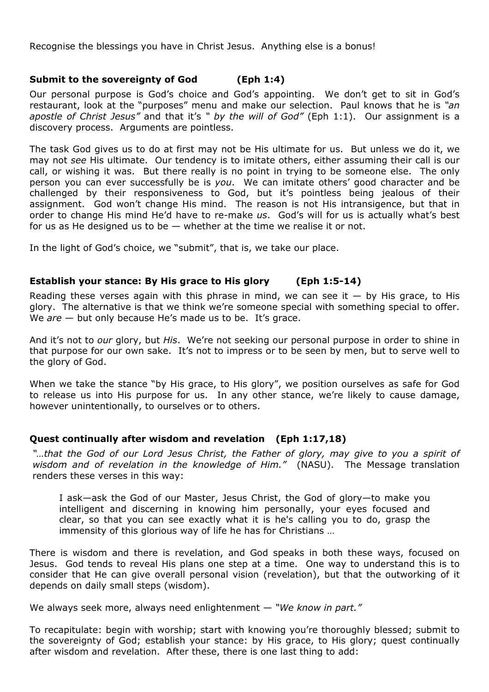Recognise the blessings you have in Christ Jesus. Anything else is a bonus!

# **Submit to the sovereignty of God (Eph 1:4)**

Our personal purpose is God's choice and God's appointing. We don't get to sit in God's restaurant, look at the "purposes" menu and make our selection. Paul knows that he is *"an apostle of Christ Jesus"* and that it's *" by the will of God"* (Eph 1:1). Our assignment is a discovery process. Arguments are pointless.

The task God gives us to do at first may not be His ultimate for us. But unless we do it, we may not *see* His ultimate. Our tendency is to imitate others, either assuming their call is our call, or wishing it was. But there really is no point in trying to be someone else. The only person you can ever successfully be is *you*. We can imitate others' good character and be challenged by their responsiveness to God, but it's pointless being jealous of their assignment. God won't change His mind. The reason is not His intransigence, but that in order to change His mind He'd have to re-make *us*. God's will for us is actually what's best for us as He designed us to be — whether at the time we realise it or not.

In the light of God's choice, we "submit", that is, we take our place.

# **Establish your stance: By His grace to His glory (Eph 1:5-14)**

Reading these verses again with this phrase in mind, we can see it  $-$  by His grace, to His glory. The alternative is that we think we're someone special with something special to offer. We *are* – but only because He's made us to be. It's grace.

And it's not to *our* glory, but *His*. We're not seeking our personal purpose in order to shine in that purpose for our own sake. It's not to impress or to be seen by men, but to serve well to the glory of God.

When we take the stance "by His grace, to His glory", we position ourselves as safe for God to release us into His purpose for us. In any other stance, we're likely to cause damage, however unintentionally, to ourselves or to others.

# **Quest continually after wisdom and revelation (Eph 1:17,18)**

*"…that the God of our Lord Jesus Christ, the Father of glory, may give to you a spirit of wisdom and of revelation in the knowledge of Him."* (NASU). The Message translation renders these verses in this way:

I ask—ask the God of our Master, Jesus Christ, the God of glory—to make you intelligent and discerning in knowing him personally, your eyes focused and clear, so that you can see exactly what it is he's calling you to do, grasp the immensity of this glorious way of life he has for Christians …

There is wisdom and there is revelation, and God speaks in both these ways, focused on Jesus. God tends to reveal His plans one step at a time. One way to understand this is to consider that He can give overall personal vision (revelation), but that the outworking of it depends on daily small steps (wisdom).

We always seek more, always need enlightenment — *"We know in part."*

To recapitulate: begin with worship; start with knowing you're thoroughly blessed; submit to the sovereignty of God; establish your stance: by His grace, to His glory; quest continually after wisdom and revelation. After these, there is one last thing to add: